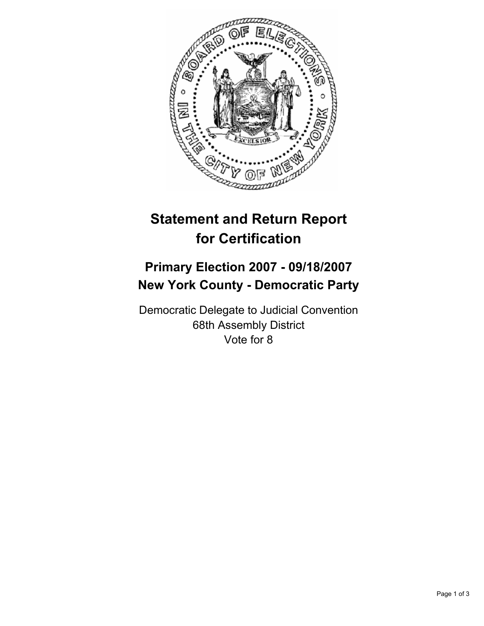

## **Statement and Return Report for Certification**

## **Primary Election 2007 - 09/18/2007 New York County - Democratic Party**

Democratic Delegate to Judicial Convention 68th Assembly District Vote for 8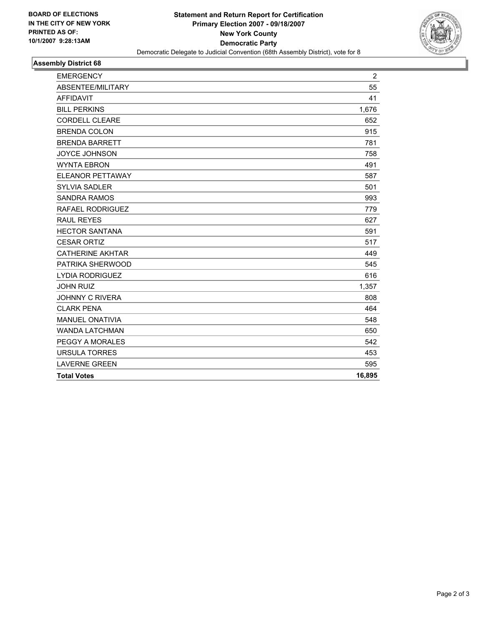

## **Assembly District 68**

| 55<br>41<br>1,676<br><b>CORDELL CLEARE</b><br>652<br>915<br>781<br><b>JOYCE JOHNSON</b><br>758<br>491<br>ELEANOR PETTAWAY<br>587<br>501<br><b>SANDRA RAMOS</b><br>993<br>779<br>627<br>591<br><b>CESAR ORTIZ</b><br>517<br><b>CATHERINE AKHTAR</b><br>449<br>545<br>616<br>1,357<br><b>JOHNNY C RIVERA</b><br>808<br><b>CLARK PENA</b><br>464<br>548<br>650<br>542<br>453<br>595<br>16,895<br><b>Total Votes</b> | <b>EMERGENCY</b>       | $\overline{2}$ |
|------------------------------------------------------------------------------------------------------------------------------------------------------------------------------------------------------------------------------------------------------------------------------------------------------------------------------------------------------------------------------------------------------------------|------------------------|----------------|
|                                                                                                                                                                                                                                                                                                                                                                                                                  | ABSENTEE/MILITARY      |                |
|                                                                                                                                                                                                                                                                                                                                                                                                                  | <b>AFFIDAVIT</b>       |                |
|                                                                                                                                                                                                                                                                                                                                                                                                                  | <b>BILL PERKINS</b>    |                |
|                                                                                                                                                                                                                                                                                                                                                                                                                  |                        |                |
|                                                                                                                                                                                                                                                                                                                                                                                                                  | <b>BRENDA COLON</b>    |                |
|                                                                                                                                                                                                                                                                                                                                                                                                                  | <b>BRENDA BARRETT</b>  |                |
|                                                                                                                                                                                                                                                                                                                                                                                                                  |                        |                |
|                                                                                                                                                                                                                                                                                                                                                                                                                  | <b>WYNTA EBRON</b>     |                |
|                                                                                                                                                                                                                                                                                                                                                                                                                  |                        |                |
|                                                                                                                                                                                                                                                                                                                                                                                                                  | <b>SYLVIA SADLER</b>   |                |
|                                                                                                                                                                                                                                                                                                                                                                                                                  |                        |                |
|                                                                                                                                                                                                                                                                                                                                                                                                                  | RAFAEL RODRIGUEZ       |                |
|                                                                                                                                                                                                                                                                                                                                                                                                                  | <b>RAUL REYES</b>      |                |
|                                                                                                                                                                                                                                                                                                                                                                                                                  | <b>HECTOR SANTANA</b>  |                |
|                                                                                                                                                                                                                                                                                                                                                                                                                  |                        |                |
|                                                                                                                                                                                                                                                                                                                                                                                                                  |                        |                |
|                                                                                                                                                                                                                                                                                                                                                                                                                  | PATRIKA SHERWOOD       |                |
|                                                                                                                                                                                                                                                                                                                                                                                                                  | <b>LYDIA RODRIGUEZ</b> |                |
|                                                                                                                                                                                                                                                                                                                                                                                                                  | <b>JOHN RUIZ</b>       |                |
|                                                                                                                                                                                                                                                                                                                                                                                                                  |                        |                |
|                                                                                                                                                                                                                                                                                                                                                                                                                  |                        |                |
|                                                                                                                                                                                                                                                                                                                                                                                                                  | <b>MANUEL ONATIVIA</b> |                |
|                                                                                                                                                                                                                                                                                                                                                                                                                  | <b>WANDA LATCHMAN</b>  |                |
|                                                                                                                                                                                                                                                                                                                                                                                                                  | PEGGY A MORALES        |                |
|                                                                                                                                                                                                                                                                                                                                                                                                                  | <b>URSULA TORRES</b>   |                |
|                                                                                                                                                                                                                                                                                                                                                                                                                  | <b>LAVERNE GREEN</b>   |                |
|                                                                                                                                                                                                                                                                                                                                                                                                                  |                        |                |